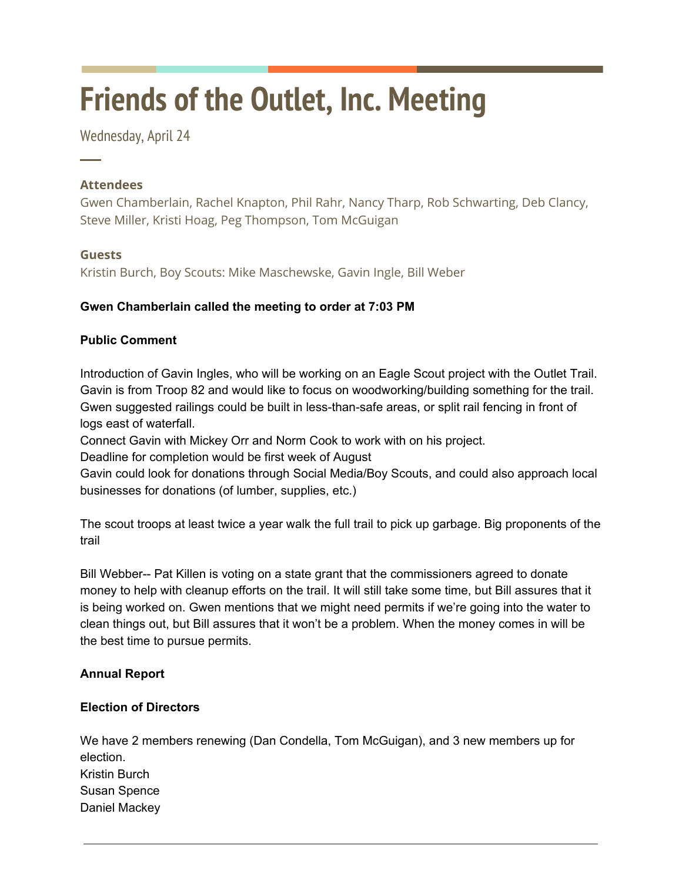# **Friends of the Outlet, Inc. Meeting**

Wednesday, April 24

# **Attendees**

─

Gwen Chamberlain, Rachel Knapton, Phil Rahr, Nancy Tharp, Rob Schwarting, Deb Clancy, Steve Miller, Kristi Hoag, Peg Thompson, Tom McGuigan

# **Guests**

Kristin Burch, Boy Scouts: Mike Maschewske, Gavin Ingle, Bill Weber

# **Gwen Chamberlain called the meeting to order at 7:03 PM**

# **Public Comment**

Introduction of Gavin Ingles, who will be working on an Eagle Scout project with the Outlet Trail. Gavin is from Troop 82 and would like to focus on woodworking/building something for the trail. Gwen suggested railings could be built in less-than-safe areas, or split rail fencing in front of logs east of waterfall.

Connect Gavin with Mickey Orr and Norm Cook to work with on his project.

Deadline for completion would be first week of August

Gavin could look for donations through Social Media/Boy Scouts, and could also approach local businesses for donations (of lumber, supplies, etc.)

The scout troops at least twice a year walk the full trail to pick up garbage. Big proponents of the trail

Bill Webber-- Pat Killen is voting on a state grant that the commissioners agreed to donate money to help with cleanup efforts on the trail. It will still take some time, but Bill assures that it is being worked on. Gwen mentions that we might need permits if we're going into the water to clean things out, but Bill assures that it won't be a problem. When the money comes in will be the best time to pursue permits.

# **Annual Report**

# **Election of Directors**

We have 2 members renewing (Dan Condella, Tom McGuigan), and 3 new members up for election. Kristin Burch Susan Spence Daniel Mackey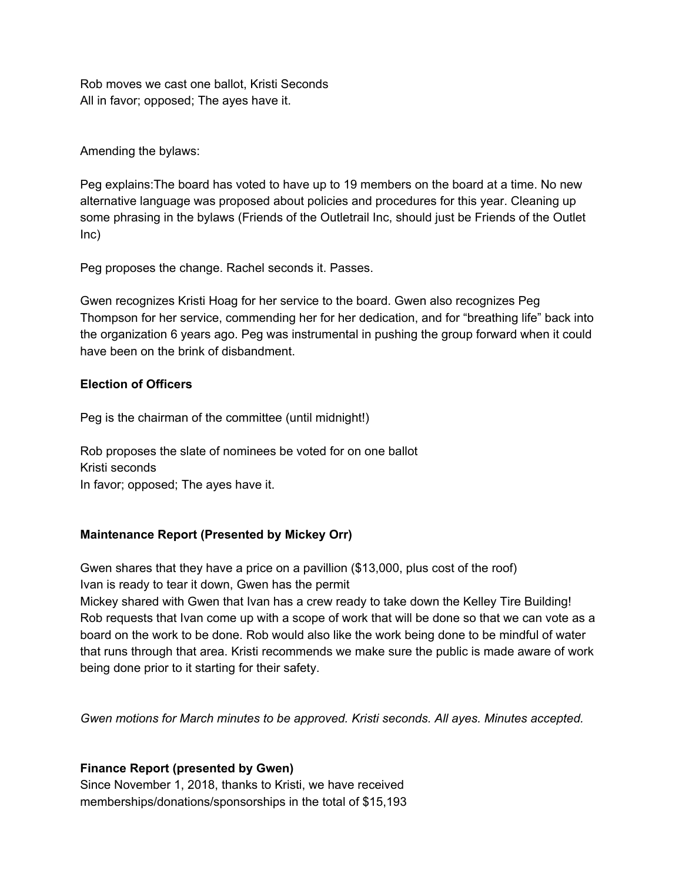Rob moves we cast one ballot, Kristi Seconds All in favor; opposed; The ayes have it.

Amending the bylaws:

Peg explains:The board has voted to have up to 19 members on the board at a time. No new alternative language was proposed about policies and procedures for this year. Cleaning up some phrasing in the bylaws (Friends of the Outletrail Inc, should just be Friends of the Outlet Inc)

Peg proposes the change. Rachel seconds it. Passes.

Gwen recognizes Kristi Hoag for her service to the board. Gwen also recognizes Peg Thompson for her service, commending her for her dedication, and for "breathing life" back into the organization 6 years ago. Peg was instrumental in pushing the group forward when it could have been on the brink of disbandment.

## **Election of Officers**

Peg is the chairman of the committee (until midnight!)

Rob proposes the slate of nominees be voted for on one ballot Kristi seconds In favor; opposed; The ayes have it.

# **Maintenance Report (Presented by Mickey Orr)**

Gwen shares that they have a price on a pavillion (\$13,000, plus cost of the roof) Ivan is ready to tear it down, Gwen has the permit

Mickey shared with Gwen that Ivan has a crew ready to take down the Kelley Tire Building! Rob requests that Ivan come up with a scope of work that will be done so that we can vote as a board on the work to be done. Rob would also like the work being done to be mindful of water that runs through that area. Kristi recommends we make sure the public is made aware of work being done prior to it starting for their safety.

*Gwen motions for March minutes to be approved. Kristi seconds. All ayes. Minutes accepted.*

# **Finance Report (presented by Gwen)**

Since November 1, 2018, thanks to Kristi, we have received memberships/donations/sponsorships in the total of \$15,193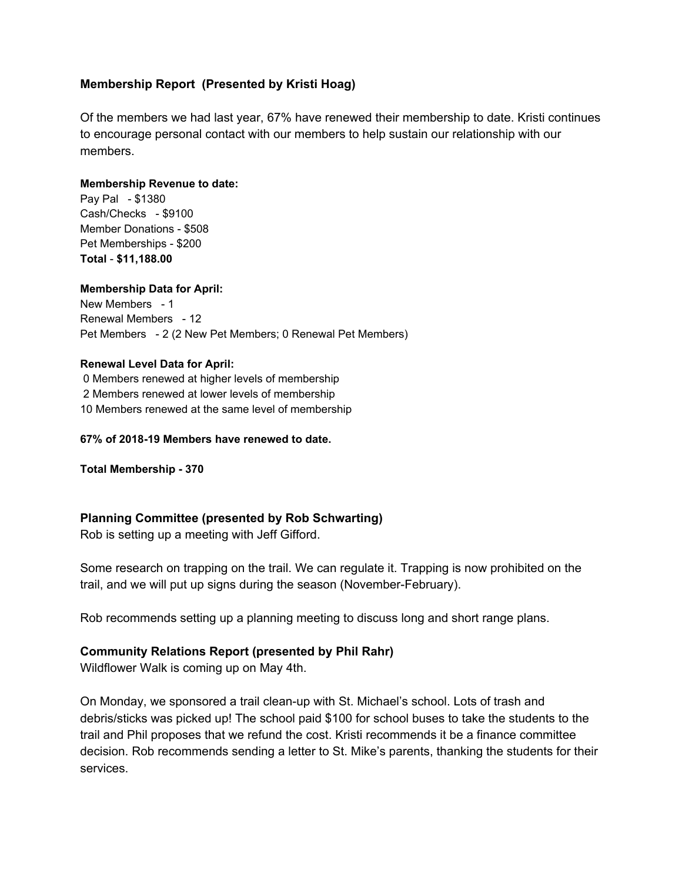## **Membership Report (Presented by Kristi Hoag)**

Of the members we had last year, 67% have renewed their membership to date. Kristi continues to encourage personal contact with our members to help sustain our relationship with our members.

#### **Membership Revenue to date:**

Pay Pal - \$1380 Cash/Checks - \$9100 Member Donations - \$508 Pet Memberships - \$200 **Total** - **\$11,188.00**

#### **Membership Data for April:**

New Members - 1 Renewal Members - 12 Pet Members - 2 (2 New Pet Members; 0 Renewal Pet Members)

#### **Renewal Level Data for April:**

0 Members renewed at higher levels of membership 2 Members renewed at lower levels of membership 10 Members renewed at the same level of membership

#### **67% of 2018-19 Members have renewed to date.**

**Total Membership - 370**

## **Planning Committee (presented by Rob Schwarting)**

Rob is setting up a meeting with Jeff Gifford.

Some research on trapping on the trail. We can regulate it. Trapping is now prohibited on the trail, and we will put up signs during the season (November-February).

Rob recommends setting up a planning meeting to discuss long and short range plans.

## **Community Relations Report (presented by Phil Rahr)**

Wildflower Walk is coming up on May 4th.

On Monday, we sponsored a trail clean-up with St. Michael's school. Lots of trash and debris/sticks was picked up! The school paid \$100 for school buses to take the students to the trail and Phil proposes that we refund the cost. Kristi recommends it be a finance committee decision. Rob recommends sending a letter to St. Mike's parents, thanking the students for their services.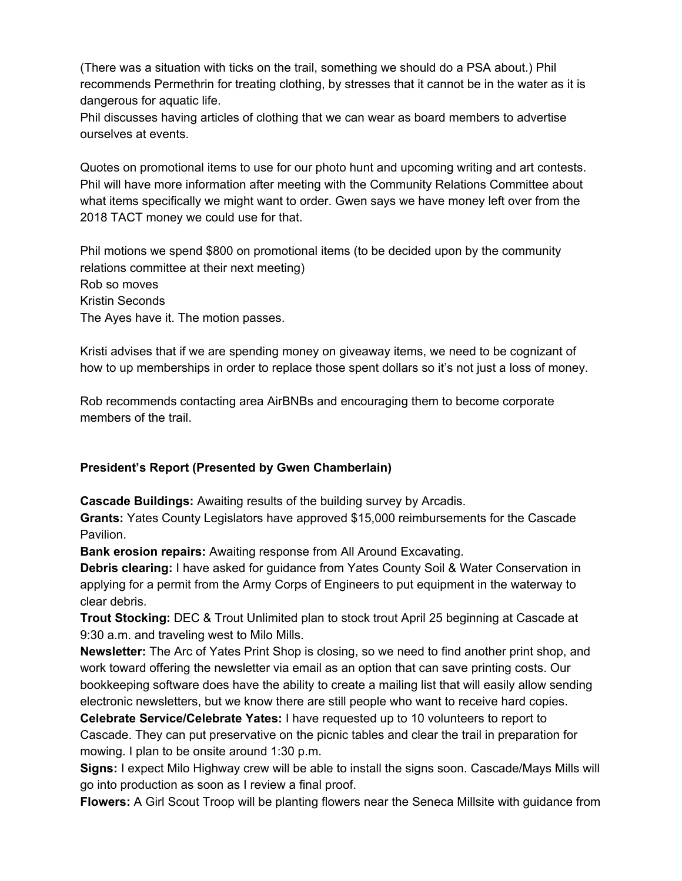(There was a situation with ticks on the trail, something we should do a PSA about.) Phil recommends Permethrin for treating clothing, by stresses that it cannot be in the water as it is dangerous for aquatic life.

Phil discusses having articles of clothing that we can wear as board members to advertise ourselves at events.

Quotes on promotional items to use for our photo hunt and upcoming writing and art contests. Phil will have more information after meeting with the Community Relations Committee about what items specifically we might want to order. Gwen says we have money left over from the 2018 TACT money we could use for that.

Phil motions we spend \$800 on promotional items (to be decided upon by the community relations committee at their next meeting) Rob so moves Kristin Seconds The Ayes have it. The motion passes.

Kristi advises that if we are spending money on giveaway items, we need to be cognizant of how to up memberships in order to replace those spent dollars so it's not just a loss of money.

Rob recommends contacting area AirBNBs and encouraging them to become corporate members of the trail.

# **President's Report (Presented by Gwen Chamberlain)**

**Cascade Buildings:** Awaiting results of the building survey by Arcadis.

**Grants:** Yates County Legislators have approved \$15,000 reimbursements for the Cascade Pavilion.

**Bank erosion repairs:** Awaiting response from All Around Excavating.

**Debris clearing:** I have asked for guidance from Yates County Soil & Water Conservation in applying for a permit from the Army Corps of Engineers to put equipment in the waterway to clear debris.

**Trout Stocking:** DEC & Trout Unlimited plan to stock trout April 25 beginning at Cascade at 9:30 a.m. and traveling west to Milo Mills.

**Newsletter:** The Arc of Yates Print Shop is closing, so we need to find another print shop, and work toward offering the newsletter via email as an option that can save printing costs. Our bookkeeping software does have the ability to create a mailing list that will easily allow sending electronic newsletters, but we know there are still people who want to receive hard copies.

**Celebrate Service/Celebrate Yates:** I have requested up to 10 volunteers to report to Cascade. They can put preservative on the picnic tables and clear the trail in preparation for mowing. I plan to be onsite around 1:30 p.m.

**Signs:** I expect Milo Highway crew will be able to install the signs soon. Cascade/Mays Mills will go into production as soon as I review a final proof.

**Flowers:** A Girl Scout Troop will be planting flowers near the Seneca Millsite with guidance from